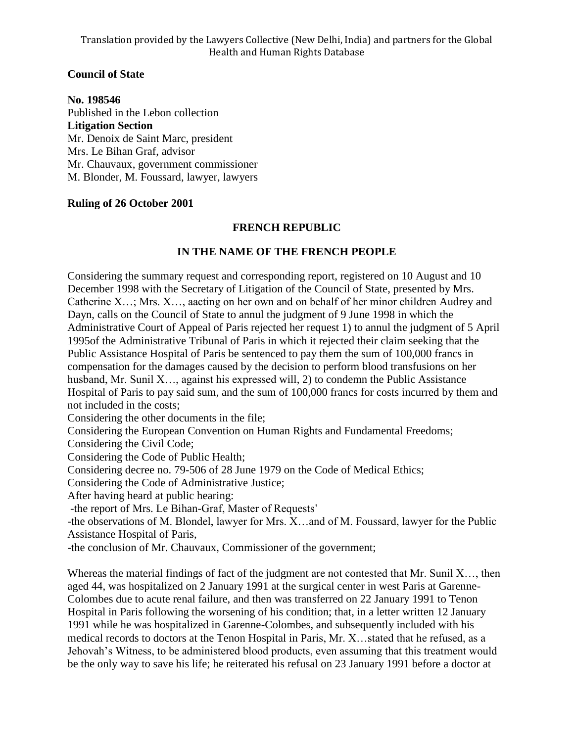# **Council of State**

**No. 198546** Published in the Lebon collection **Litigation Section** Mr. Denoix de Saint Marc, president Mrs. Le Bihan Graf, advisor Mr. Chauvaux, government commissioner M. Blonder, M. Foussard, lawyer, lawyers

## **Ruling of 26 October 2001**

## **FRENCH REPUBLIC**

## **IN THE NAME OF THE FRENCH PEOPLE**

Considering the summary request and corresponding report, registered on 10 August and 10 December 1998 with the Secretary of Litigation of the Council of State, presented by Mrs. Catherine X…; Mrs. X…, aacting on her own and on behalf of her minor children Audrey and Dayn, calls on the Council of State to annul the judgment of 9 June 1998 in which the Administrative Court of Appeal of Paris rejected her request 1) to annul the judgment of 5 April 1995of the Administrative Tribunal of Paris in which it rejected their claim seeking that the Public Assistance Hospital of Paris be sentenced to pay them the sum of 100,000 francs in compensation for the damages caused by the decision to perform blood transfusions on her husband, Mr. Sunil X..., against his expressed will, 2) to condemn the Public Assistance Hospital of Paris to pay said sum, and the sum of 100,000 francs for costs incurred by them and not included in the costs;

Considering the other documents in the file;

Considering the European Convention on Human Rights and Fundamental Freedoms;

Considering the Civil Code;

Considering the Code of Public Health;

Considering decree no. 79-506 of 28 June 1979 on the Code of Medical Ethics;

Considering the Code of Administrative Justice;

After having heard at public hearing:

-the report of Mrs. Le Bihan-Graf, Master of Requests'

-the observations of M. Blondel, lawyer for Mrs. X…and of M. Foussard, lawyer for the Public Assistance Hospital of Paris,

-the conclusion of Mr. Chauvaux, Commissioner of the government;

Whereas the material findings of fact of the judgment are not contested that Mr. Sunil X..., then aged 44, was hospitalized on 2 January 1991 at the surgical center in west Paris at Garenne-Colombes due to acute renal failure, and then was transferred on 22 January 1991 to Tenon Hospital in Paris following the worsening of his condition; that, in a letter written 12 January 1991 while he was hospitalized in Garenne-Colombes, and subsequently included with his medical records to doctors at the Tenon Hospital in Paris, Mr. X…stated that he refused, as a Jehovah's Witness, to be administered blood products, even assuming that this treatment would be the only way to save his life; he reiterated his refusal on 23 January 1991 before a doctor at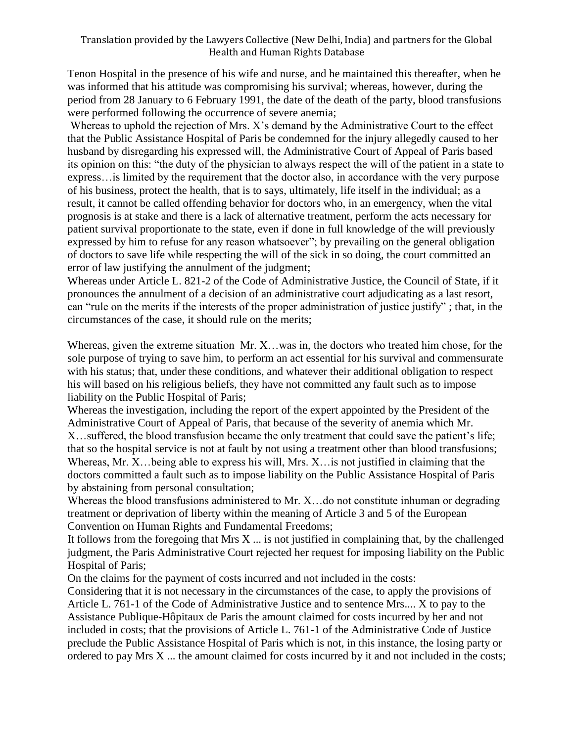#### Translation provided by the Lawyers Collective (New Delhi, India) and partners for the Global Health and Human Rights Database

Tenon Hospital in the presence of his wife and nurse, and he maintained this thereafter, when he was informed that his attitude was compromising his survival; whereas, however, during the period from 28 January to 6 February 1991, the date of the death of the party, blood transfusions were performed following the occurrence of severe anemia;

Whereas to uphold the rejection of Mrs. X's demand by the Administrative Court to the effect that the Public Assistance Hospital of Paris be condemned for the injury allegedly caused to her husband by disregarding his expressed will, the Administrative Court of Appeal of Paris based its opinion on this: "the duty of the physician to always respect the will of the patient in a state to express…is limited by the requirement that the doctor also, in accordance with the very purpose of his business, protect the health, that is to says, ultimately, life itself in the individual; as a result, it cannot be called offending behavior for doctors who, in an emergency, when the vital prognosis is at stake and there is a lack of alternative treatment, perform the acts necessary for patient survival proportionate to the state, even if done in full knowledge of the will previously expressed by him to refuse for any reason whatsoever"; by prevailing on the general obligation of doctors to save life while respecting the will of the sick in so doing, the court committed an error of law justifying the annulment of the judgment;

Whereas under Article L. 821-2 of the Code of Administrative Justice, the Council of State, if it pronounces the annulment of a decision of an administrative court adjudicating as a last resort, can "rule on the merits if the interests of the proper administration of justice justify" ; that, in the circumstances of the case, it should rule on the merits;

Whereas, given the extreme situation Mr. X…was in, the doctors who treated him chose, for the sole purpose of trying to save him, to perform an act essential for his survival and commensurate with his status; that, under these conditions, and whatever their additional obligation to respect his will based on his religious beliefs, they have not committed any fault such as to impose liability on the Public Hospital of Paris;

Whereas the investigation, including the report of the expert appointed by the President of the Administrative Court of Appeal of Paris, that because of the severity of anemia which Mr. X…suffered, the blood transfusion became the only treatment that could save the patient's life; that so the hospital service is not at fault by not using a treatment other than blood transfusions; Whereas, Mr. X…being able to express his will, Mrs. X…is not justified in claiming that the doctors committed a fault such as to impose liability on the Public Assistance Hospital of Paris by abstaining from personal consultation;

Whereas the blood transfusions administered to Mr. X... do not constitute inhuman or degrading treatment or deprivation of liberty within the meaning of Article 3 and 5 of the European Convention on Human Rights and Fundamental Freedoms;

It follows from the foregoing that Mrs  $X$   $\dots$  is not justified in complaining that, by the challenged judgment, the Paris Administrative Court rejected her request for imposing liability on the Public Hospital of Paris;

On the claims for the payment of costs incurred and not included in the costs:

Considering that it is not necessary in the circumstances of the case, to apply the provisions of Article L. 761-1 of the Code of Administrative Justice and to sentence Mrs.... X to pay to the Assistance Publique-Hôpitaux de Paris the amount claimed for costs incurred by her and not included in costs; that the provisions of Article L. 761-1 of the Administrative Code of Justice preclude the Public Assistance Hospital of Paris which is not, in this instance, the losing party or ordered to pay Mrs X ... the amount claimed for costs incurred by it and not included in the costs;